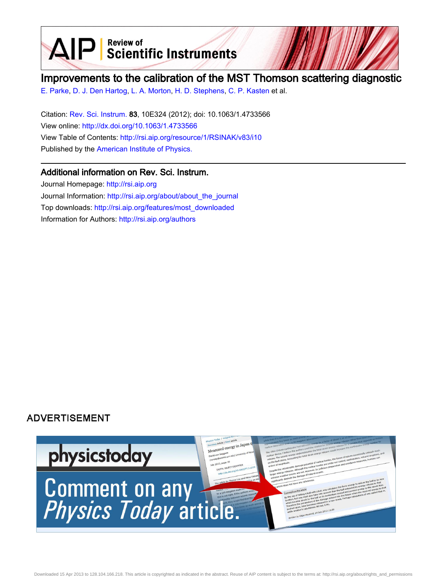$\mathbf{A} \mathbf{P}$  Scientific Instruments

Improvements to the calibration of the MST Thomson scattering diagnostic

[E. Parke](http://rsi.aip.org/search?sortby=newestdate&q=&searchzone=2&searchtype=searchin&faceted=faceted&key=AIP_ALL&possible1=E. Parke&possible1zone=author&alias=&displayid=AIP&ver=pdfcov), [D. J. Den Hartog](http://rsi.aip.org/search?sortby=newestdate&q=&searchzone=2&searchtype=searchin&faceted=faceted&key=AIP_ALL&possible1=D. J. Den Hartog&possible1zone=author&alias=&displayid=AIP&ver=pdfcov), [L. A. Morton](http://rsi.aip.org/search?sortby=newestdate&q=&searchzone=2&searchtype=searchin&faceted=faceted&key=AIP_ALL&possible1=L. A. Morton&possible1zone=author&alias=&displayid=AIP&ver=pdfcov), [H. D. Stephens,](http://rsi.aip.org/search?sortby=newestdate&q=&searchzone=2&searchtype=searchin&faceted=faceted&key=AIP_ALL&possible1=H. D. Stephens&possible1zone=author&alias=&displayid=AIP&ver=pdfcov) [C. P. Kasten](http://rsi.aip.org/search?sortby=newestdate&q=&searchzone=2&searchtype=searchin&faceted=faceted&key=AIP_ALL&possible1=C. P. Kasten&possible1zone=author&alias=&displayid=AIP&ver=pdfcov) et al.

Citation: [Rev. Sci. Instrum.](http://rsi.aip.org?ver=pdfcov) 83, 10E324 (2012); doi: 10.1063/1.4733566 View online: [http://dx.doi.org/10.1063/1.4733566](http://link.aip.org/link/doi/10.1063/1.4733566?ver=pdfcov) View Table of Contents: [http://rsi.aip.org/resource/1/RSINAK/v83/i10](http://rsi.aip.org/resource/1/RSINAK/v83/i10?ver=pdfcov) Published by the [American Institute of Physics.](http://www.aip.org/?ver=pdfcov)

## Additional information on Rev. Sci. Instrum.

Journal Homepage: [http://rsi.aip.org](http://rsi.aip.org?ver=pdfcov) Journal Information: [http://rsi.aip.org/about/about\\_the\\_journal](http://rsi.aip.org/about/about_the_journal?ver=pdfcov) Top downloads: [http://rsi.aip.org/features/most\\_downloaded](http://rsi.aip.org/features/most_downloaded?ver=pdfcov) Information for Authors: [http://rsi.aip.org/authors](http://rsi.aip.org/authors?ver=pdfcov)

## **ADVERTISEMENT**

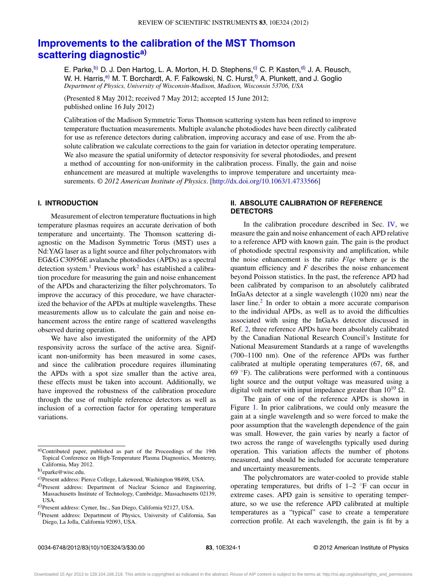# **[Improvements to the calibration of the MST Thomson](http://dx.doi.org/10.1063/1.4733566) [scattering diagnostic](http://dx.doi.org/10.1063/1.4733566)[a\)](#page-1-0)**

E. Parke,<sup>[b\)](#page-1-1)</sup> D. J. Den Hartog, L. A. Morton, H. D. Stephens,<sup>c)</sup> C. P. Kasten,<sup>[d\)](#page-1-3)</sup> J. A. Reusch, W. H. Harris,<sup>[e\)](#page-1-4)</sup> M. T. Borchardt, A. F. Falkowski, N. C. Hurst,<sup>f)</sup> A. Plunkett, and J. Goglio *Department of Physics, University of Wisconsin-Madison, Madison, Wisconsin 53706, USA*

(Presented 8 May 2012; received 7 May 2012; accepted 15 June 2012; published online 16 July 2012)

Calibration of the Madison Symmetric Torus Thomson scattering system has been refined to improve temperature fluctuation measurements. Multiple avalanche photodiodes have been directly calibrated for use as reference detectors during calibration, improving accuracy and ease of use. From the absolute calibration we calculate corrections to the gain for variation in detector operating temperature. We also measure the spatial uniformity of detector responsivity for several photodiodes, and present a method of accounting for non-uniformity in the calibration process. Finally, the gain and noise enhancement are measured at multiple wavelengths to improve temperature and uncertainty measurements. *© 2012 American Institute of Physics*. [\[http://dx.doi.org/10.1063/1.4733566\]](http://dx.doi.org/10.1063/1.4733566)

### **I. INTRODUCTION**

Measurement of electron temperature fluctuations in high temperature plasmas requires an accurate derivation of both temperature and uncertainty. The Thomson scattering diagnostic on the Madison Symmetric Torus (MST) uses a Nd:YAG laser as a light source and filter polychromators with EG&G C30956E avalanche photodiodes (APDs) as a spectral detection system.<sup>1</sup> Previous work<sup>2</sup> has established a calibration procedure for measuring the gain and noise enhancement of the APDs and characterizing the filter polychromators. To improve the accuracy of this procedure, we have characterized the behavior of the APDs at multiple wavelengths. These measurements allow us to calculate the gain and noise enhancement across the entire range of scattered wavelengths observed during operation.

We have also investigated the uniformity of the APD responsivity across the surface of the active area. Significant non-uniformity has been measured in some cases, and since the calibration procedure requires illuminating the APDs with a spot size smaller than the active area, these effects must be taken into account. Additionally, we have improved the robustness of the calibration procedure through the use of multiple reference detectors as well as inclusion of a correction factor for operating temperature variations.

### **II. ABSOLUTE CALIBRATION OF REFERENCE DETECTORS**

In the calibration procedure described in Sec. [IV,](#page-3-2) we measure the gain and noise enhancement of each APD relative to a reference APD with known gain. The gain is the product of photodiode spectral responsivity and amplification, while the noise enhancement is the ratio *F*/*qe* where *qe* is the quantum efficiency and *F* describes the noise enhancement beyond Poisson statistics. In the past, the reference APD had been calibrated by comparison to an absolutely calibrated InGaAs detector at a single wavelength (1020 nm) near the laser line.<sup>[2](#page-3-1)</sup> In order to obtain a more accurate comparison to the individual APDs, as well as to avoid the difficulties associated with using the InGaAs detector discussed in Ref. [2,](#page-3-1) three reference APDs have been absolutely calibrated by the Canadian National Research Council's Institute for National Measurement Standards at a range of wavelengths (700–1100 nm). One of the reference APDs was further calibrated at multiple operating temperatures (67, 68, and 69 ◦F). The calibrations were performed with a continuous light source and the output voltage was measured using a digital volt meter with input impedance greater than  $10^{10}$   $\Omega$ .

The gain of one of the reference APDs is shown in Figure [1.](#page-2-0) In prior calibrations, we could only measure the gain at a single wavelength and so were forced to make the poor assumption that the wavelength dependence of the gain was small. However, the gain varies by nearly a factor of two across the range of wavelengths typically used during operation. This variation affects the number of photons measured, and should be included for accurate temperature and uncertainty measurements.

The polychromators are water-cooled to provide stable operating temperatures, but drifts of  $1-2$  °F can occur in extreme cases. APD gain is sensitive to operating temperature, so we use the reference APD calibrated at multiple temperatures as a "typical" case to create a temperature correction profile. At each wavelength, the gain is fit by a

<span id="page-1-0"></span>a)Contributed paper, published as part of the Proceedings of the 19th Topical Conference on High-Temperature Plasma Diagnostics, Monterey, California, May 2012.

<span id="page-1-1"></span>b[\)eparke@wisc.edu.](mailto: eparke@wisc.edu)

<span id="page-1-2"></span>c)Present address: Pierce College, Lakewood, Washington 98498, USA.

<span id="page-1-3"></span>d)Present address: Department of Nuclear Science and Engineering, Massachusetts Institute of Technology, Cambridge, Massachusetts 02139, USA.

<span id="page-1-4"></span>e)Present address: Cymer, Inc., San Diego, California 92127, USA.

<span id="page-1-5"></span>f)Present address: Department of Physics, University of California, San Diego, La Jolla, California 92093, USA.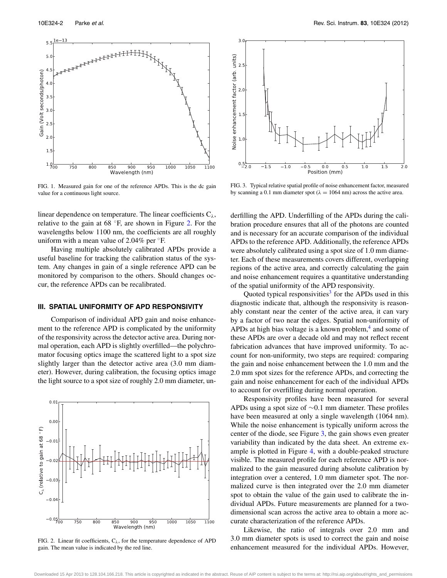<span id="page-2-0"></span>

FIG. 1. Measured gain for one of the reference APDs. This is the dc gain value for a continuous light source.

linear dependence on temperature. The linear coefficients C*λ*, relative to the gain at 68 ◦F, are shown in Figure [2.](#page-2-1) For the wavelengths below 1100 nm, the coefficients are all roughly uniform with a mean value of 2.04% per  $\mathrm{P}.\mathsf{F}$ .

Having multiple absolutely calibrated APDs provide a useful baseline for tracking the calibration status of the system. Any changes in gain of a single reference APD can be monitored by comparison to the others. Should changes occur, the reference APDs can be recalibrated.

#### **III. SPATIAL UNIFORMITY OF APD RESPONSIVITY**

Comparison of individual APD gain and noise enhancement to the reference APD is complicated by the uniformity of the responsivity across the detector active area. During normal operation, each APD is slightly overfilled—the polychromator focusing optics image the scattered light to a spot size slightly larger than the detector active area (3.0 mm diameter). However, during calibration, the focusing optics image the light source to a spot size of roughly 2.0 mm diameter, un-

<span id="page-2-1"></span>

FIG. 2. Linear fit coefficients, C*λ*, for the temperature dependence of APD gain. The mean value is indicated by the red line.

<span id="page-2-2"></span>

FIG. 3. Typical relative spatial profile of noise enhancement factor, measured by scanning a 0.1 mm diameter spot  $(\lambda = 1064 \text{ nm})$  across the active area.

derfilling the APD. Underfilling of the APDs during the calibration procedure ensures that all of the photons are counted and is necessary for an accurate comparison of the individual APDs to the reference APD. Additionally, the reference APDs were absolutely calibrated using a spot size of 1.0 mm diameter. Each of these measurements covers different, overlapping regions of the active area, and correctly calculating the gain and noise enhancement requires a quantitative understanding of the spatial uniformity of the APD responsivity.

Quoted typical responsivities<sup>3</sup> for the APDs used in this diagnostic indicate that, although the responsivity is reasonably constant near the center of the active area, it can vary by a factor of two near the edges. Spatial non-uniformity of APDs at high bias voltage is a known problem, $4$  and some of these APDs are over a decade old and may not reflect recent fabrication advances that have improved uniformity. To account for non-uniformity, two steps are required: comparing the gain and noise enhancement between the 1.0 mm and the 2.0 mm spot sizes for the reference APDs, and correcting the gain and noise enhancement for each of the individual APDs to account for overfilling during normal operation.

Responsivity profiles have been measured for several APDs using a spot size of ∼0.1 mm diameter. These profiles have been measured at only a single wavelength (1064 nm). While the noise enhancement is typically uniform across the center of the diode, see Figure [3,](#page-2-2) the gain shows even greater variability than indicated by the data sheet. An extreme example is plotted in Figure [4,](#page-3-5) with a double-peaked structure visible. The measured profile for each reference APD is normalized to the gain measured during absolute calibration by integration over a centered, 1.0 mm diameter spot. The normalized curve is then integrated over the 2.0 mm diameter spot to obtain the value of the gain used to calibrate the individual APDs. Future measurements are planned for a twodimensional scan across the active area to obtain a more accurate characterization of the reference APDs.

Likewise, the ratio of integrals over 2.0 mm and 3.0 mm diameter spots is used to correct the gain and noise enhancement measured for the individual APDs. However,